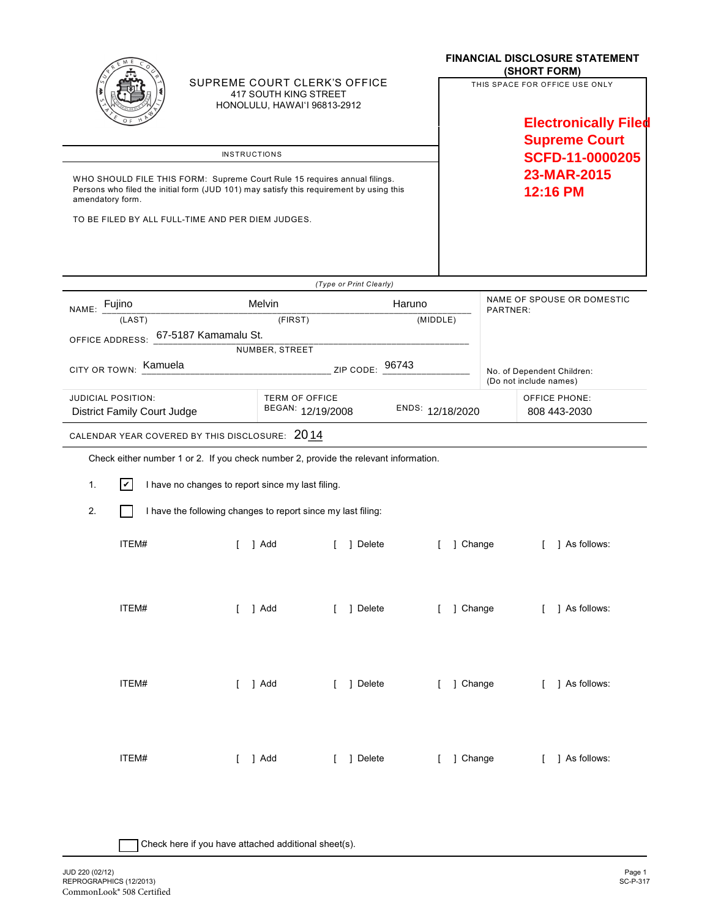|                                                                                                                                                                                          |                                                              |         |                                                                                       |  |            |        | <b>FINANCIAL DISCLOSURE STATEMENT</b><br>(SHORT FORM)         |                                                      |                                      |  |
|------------------------------------------------------------------------------------------------------------------------------------------------------------------------------------------|--------------------------------------------------------------|---------|---------------------------------------------------------------------------------------|--|------------|--------|---------------------------------------------------------------|------------------------------------------------------|--------------------------------------|--|
|                                                                                                                                                                                          |                                                              |         | SUPREME COURT CLERK'S OFFICE<br>417 SOUTH KING STREET<br>HONOLULU, HAWAI'I 96813-2912 |  |            |        | THIS SPACE FOR OFFICE USE ONLY<br><b>Electronically Filed</b> |                                                      |                                      |  |
|                                                                                                                                                                                          |                                                              |         |                                                                                       |  |            |        | <b>Supreme Court</b><br>SCFD-11-0000205                       |                                                      |                                      |  |
| <b>INSTRUCTIONS</b>                                                                                                                                                                      |                                                              |         |                                                                                       |  |            |        |                                                               |                                                      |                                      |  |
| WHO SHOULD FILE THIS FORM: Supreme Court Rule 15 requires annual filings.<br>Persons who filed the initial form (JUD 101) may satisfy this requirement by using this<br>amendatory form. |                                                              |         |                                                                                       |  |            |        |                                                               | 23-MAR-2015<br>12:16 PM                              |                                      |  |
| TO BE FILED BY ALL FULL-TIME AND PER DIEM JUDGES.                                                                                                                                        |                                                              |         |                                                                                       |  |            |        |                                                               |                                                      |                                      |  |
|                                                                                                                                                                                          |                                                              |         |                                                                                       |  |            |        |                                                               |                                                      |                                      |  |
| (Type or Print Clearly)                                                                                                                                                                  |                                                              |         |                                                                                       |  |            |        |                                                               |                                                      |                                      |  |
| NAME: Fujino                                                                                                                                                                             |                                                              | Melvin  |                                                                                       |  |            | Haruno |                                                               | NAME OF SPOUSE OR DOMESTIC<br>PARTNER:               |                                      |  |
| (LAST)<br>(FIRST)<br>(MIDDLE)                                                                                                                                                            |                                                              |         |                                                                                       |  |            |        |                                                               |                                                      |                                      |  |
| OFFICE ADDRESS: 67-5187 Kamamalu St.<br>NUMBER, STREET                                                                                                                                   |                                                              |         |                                                                                       |  |            |        |                                                               |                                                      |                                      |  |
| Kamuela<br>ZIP CODE: 96743<br><b>CITY OR TOWN:</b>                                                                                                                                       |                                                              |         |                                                                                       |  |            |        |                                                               | No. of Dependent Children:<br>(Do not include names) |                                      |  |
| <b>JUDICIAL POSITION:</b><br><b>District Family Court Judge</b>                                                                                                                          |                                                              |         | <b>TERM OF OFFICE</b><br>BEGAN: 12/19/2008                                            |  |            |        | ENDS: 12/18/2020                                              |                                                      | <b>OFFICE PHONE:</b><br>808 443-2030 |  |
| CALENDAR YEAR COVERED BY THIS DISCLOSURE: 2014                                                                                                                                           |                                                              |         |                                                                                       |  |            |        |                                                               |                                                      |                                      |  |
| Check either number 1 or 2. If you check number 2, provide the relevant information.                                                                                                     |                                                              |         |                                                                                       |  |            |        |                                                               |                                                      |                                      |  |
| $ \boldsymbol{v} $<br>1.                                                                                                                                                                 | I have no changes to report since my last filing.            |         |                                                                                       |  |            |        |                                                               |                                                      |                                      |  |
| 2.                                                                                                                                                                                       | I have the following changes to report since my last filing: |         |                                                                                       |  |            |        |                                                               |                                                      |                                      |  |
|                                                                                                                                                                                          | ITEM#                                                        |         | 1 Add                                                                                 |  | 1 Delete   |        |                                                               | 1 Change                                             | 1 As follows:                        |  |
|                                                                                                                                                                                          | ITEM#                                                        | [ ] Add |                                                                                       |  | [ ] Delete |        |                                                               |                                                      | [ ] Change [ ] As follows:           |  |
|                                                                                                                                                                                          | ITEM#                                                        | [ ] Add |                                                                                       |  | [ ] Delete |        |                                                               | [ ] Change                                           | [ ] As follows:                      |  |
|                                                                                                                                                                                          | ITEM#                                                        | [ ] Add |                                                                                       |  | [ ] Delete |        | [ ] Change                                                    |                                                      | [ ] As follows:                      |  |

| Check here if you have attached additional sheet(s).